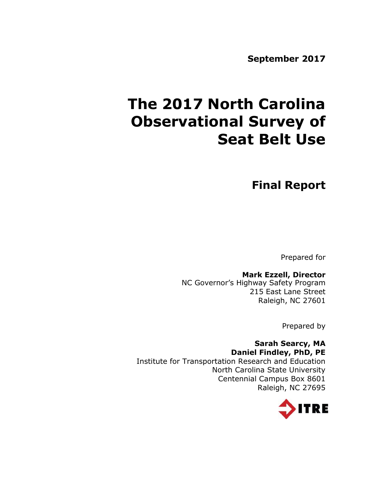**September 2017**

# **The 2017 North Carolina Observational Survey of Seat Belt Use**

**Final Report**

Prepared for

# **Mark Ezzell, Director**

NC Governor's Highway Safety Program 215 East Lane Street Raleigh, NC 27601

Prepared by

## **Sarah Searcy, MA Daniel Findley, PhD, PE** Institute for Transportation Research and Education North Carolina State University Centennial Campus Box 8601 Raleigh, NC 27695

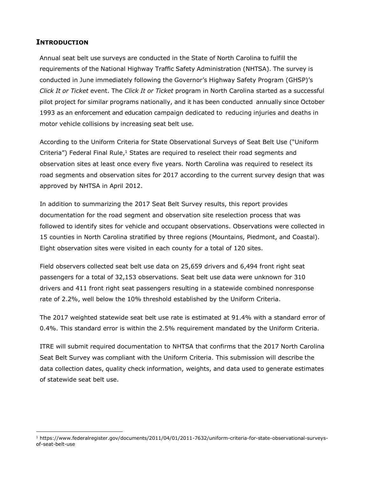## **INTRODUCTION**

 $\overline{a}$ 

Annual seat belt use surveys are conducted in the State of North Carolina to fulfill the requirements of the National Highway Traffic Safety Administration (NHTSA). The survey is conducted in June immediately following the Governor's Highway Safety Program (GHSP)'s *Click It or Ticket* event. The *Click It or Ticket* program in North Carolina started as a successful pilot project for similar programs nationally, and it has been conducted annually since October 1993 as an enforcement and education campaign dedicated to reducing injuries and deaths in motor vehicle collisions by increasing seat belt use.

According to the Uniform Criteria for State Observational Surveys of Seat Belt Use ("Uniform Criteria") Federal Final Rule, $1$  States are required to reselect their road segments and observation sites at least once every five years. North Carolina was required to reselect its road segments and observation sites for 2017 according to the current survey design that was approved by NHTSA in April 2012.

In addition to summarizing the 2017 Seat Belt Survey results, this report provides documentation for the road segment and observation site reselection process that was followed to identify sites for vehicle and occupant observations. Observations were collected in 15 counties in North Carolina stratified by three regions (Mountains, Piedmont, and Coastal). Eight observation sites were visited in each county for a total of 120 sites.

Field observers collected seat belt use data on 25,659 drivers and 6,494 front right seat passengers for a total of 32,153 observations. Seat belt use data were unknown for 310 drivers and 411 front right seat passengers resulting in a statewide combined nonresponse rate of 2.2%, well below the 10% threshold established by the Uniform Criteria.

The 2017 weighted statewide seat belt use rate is estimated at 91.4% with a standard error of 0.4%. This standard error is within the 2.5% requirement mandated by the Uniform Criteria.

ITRE will submit required documentation to NHTSA that confirms that the 2017 North Carolina Seat Belt Survey was compliant with the Uniform Criteria. This submission will describe the data collection dates, quality check information, weights, and data used to generate estimates of statewide seat belt use.

<sup>1</sup> https://www.federalregister.gov/documents/2011/04/01/2011-7632/uniform-criteria-for-state-observational-surveysof-seat-belt-use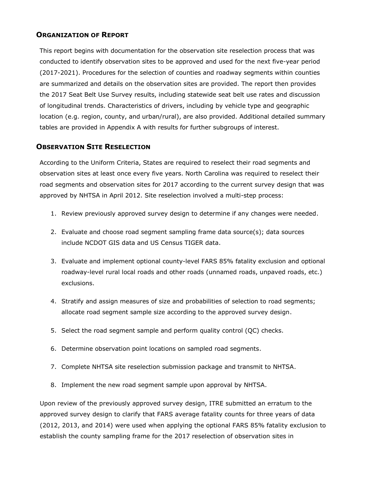### **ORGANIZATION OF REPORT**

This report begins with documentation for the observation site reselection process that was conducted to identify observation sites to be approved and used for the next five-year period (2017-2021). Procedures for the selection of counties and roadway segments within counties are summarized and details on the observation sites are provided. The report then provides the 2017 Seat Belt Use Survey results, including statewide seat belt use rates and discussion of longitudinal trends. Characteristics of drivers, including by vehicle type and geographic location (e.g. region, county, and urban/rural), are also provided. Additional detailed summary tables are provided in Appendix A with results for further subgroups of interest.

## **OBSERVATION SITE RESELECTION**

According to the Uniform Criteria, States are required to reselect their road segments and observation sites at least once every five years. North Carolina was required to reselect their road segments and observation sites for 2017 according to the current survey design that was approved by NHTSA in April 2012. Site reselection involved a multi-step process:

- 1. Review previously approved survey design to determine if any changes were needed.
- 2. Evaluate and choose road segment sampling frame data source(s); data sources include NCDOT GIS data and US Census TIGER data.
- 3. Evaluate and implement optional county-level FARS 85% fatality exclusion and optional roadway-level rural local roads and other roads (unnamed roads, unpaved roads, etc.) exclusions.
- 4. Stratify and assign measures of size and probabilities of selection to road segments; allocate road segment sample size according to the approved survey design.
- 5. Select the road segment sample and perform quality control (QC) checks.
- 6. Determine observation point locations on sampled road segments.
- 7. Complete NHTSA site reselection submission package and transmit to NHTSA.
- 8. Implement the new road segment sample upon approval by NHTSA.

Upon review of the previously approved survey design, ITRE submitted an erratum to the approved survey design to clarify that FARS average fatality counts for three years of data (2012, 2013, and 2014) were used when applying the optional FARS 85% fatality exclusion to establish the county sampling frame for the 2017 reselection of observation sites in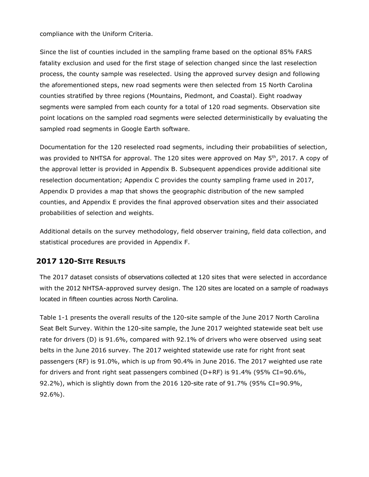compliance with the Uniform Criteria.

Since the list of counties included in the sampling frame based on the optional 85% FARS fatality exclusion and used for the first stage of selection changed since the last reselection process, the county sample was reselected. Using the approved survey design and following the aforementioned steps, new road segments were then selected from 15 North Carolina counties stratified by three regions (Mountains, Piedmont, and Coastal). Eight roadway segments were sampled from each county for a total of 120 road segments. Observation site point locations on the sampled road segments were selected deterministically by evaluating the sampled road segments in Google Earth software.

Documentation for the 120 reselected road segments, including their probabilities of selection, was provided to NHTSA for approval. The 120 sites were approved on May 5<sup>th</sup>, 2017. A copy of the approval letter is provided in Appendix B. Subsequent appendices provide additional site reselection documentation; Appendix C provides the county sampling frame used in 2017, Appendix D provides a map that shows the geographic distribution of the new sampled counties, and Appendix E provides the final approved observation sites and their associated probabilities of selection and weights.

Additional details on the survey methodology, field observer training, field data collection, and statistical procedures are provided in Appendix F.

## **2017 120-SITE RESULTS**

The 2017 dataset consists of observations collected at 120 sites that were selected in accordance with the 2012 NHTSA-approved survey design. The 120 sites are located on a sample of roadways located in fifteen counties across North Carolina.

Table 1-1 presents the overall results of the 120-site sample of the June 2017 North Carolina Seat Belt Survey. Within the 120-site sample, the June 2017 weighted statewide seat belt use rate for drivers (D) is 91.6%, compared with 92.1% of drivers who were observed using seat belts in the June 2016 survey. The 2017 weighted statewide use rate for right front seat passengers (RF) is 91.0%, which is up from 90.4% in June 2016. The 2017 weighted use rate for drivers and front right seat passengers combined (D+RF) is 91.4% (95% CI=90.6%, 92.2%), which is slightly down from the 2016 120-site rate of 91.7% (95% CI=90.9%, 92.6%).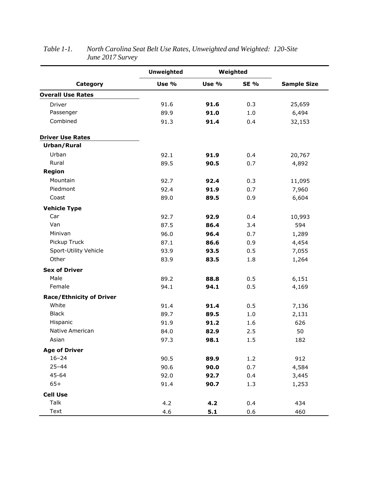|                                 | <b>Unweighted</b> |       | Weighted    |                    |  |
|---------------------------------|-------------------|-------|-------------|--------------------|--|
| Category                        | Use %             | Use % | <b>SE %</b> | <b>Sample Size</b> |  |
| <b>Overall Use Rates</b>        |                   |       |             |                    |  |
| Driver                          | 91.6              | 91.6  | 0.3         | 25,659             |  |
| Passenger                       | 89.9              | 91.0  | 1.0         | 6,494              |  |
| Combined                        | 91.3              | 91.4  | 0.4         | 32,153             |  |
| <b>Driver Use Rates</b>         |                   |       |             |                    |  |
| Urban/Rural                     |                   |       |             |                    |  |
| Urban                           | 92.1              | 91.9  | 0.4         | 20,767             |  |
| Rural                           | 89.5              | 90.5  | 0.7         | 4,892              |  |
| <b>Region</b>                   |                   |       |             |                    |  |
| Mountain                        | 92.7              | 92.4  | 0.3         | 11,095             |  |
| Piedmont                        | 92.4              | 91.9  | 0.7         | 7,960              |  |
| Coast                           | 89.0              | 89.5  | 0.9         | 6,604              |  |
| <b>Vehicle Type</b>             |                   |       |             |                    |  |
| Car                             | 92.7              | 92.9  | 0.4         | 10,993             |  |
| Van                             | 87.5              | 86.4  | 3.4         | 594                |  |
| Minivan                         | 96.0              | 96.4  | 0.7         | 1,289              |  |
| Pickup Truck                    | 87.1              | 86.6  | 0.9         | 4,454              |  |
| Sport-Utility Vehicle           | 93.9              | 93.5  | 0.5         | 7,055              |  |
| Other                           | 83.9              | 83.5  | 1.8         | 1,264              |  |
| <b>Sex of Driver</b>            |                   |       |             |                    |  |
| Male                            | 89.2              | 88.8  | 0.5         | 6,151              |  |
| Female                          | 94.1              | 94.1  | 0.5         | 4,169              |  |
| <b>Race/Ethnicity of Driver</b> |                   |       |             |                    |  |
| White                           | 91.4              | 91.4  | 0.5         | 7,136              |  |
| <b>Black</b>                    | 89.7              | 89.5  | 1.0         | 2,131              |  |
| Hispanic                        | 91.9              | 91.2  | 1.6         | 626                |  |
| Native American                 | 84.0              | 82.9  | 2.5         | 50                 |  |
| Asian                           | 97.3              | 98.1  | 1.5         | 182                |  |
| <b>Age of Driver</b>            |                   |       |             |                    |  |
| $16 - 24$                       | 90.5              | 89.9  | 1.2         | 912                |  |
| $25 - 44$                       | 90.6              | 90.0  | 0.7         | 4,584              |  |
| $45 - 64$                       | 92.0              | 92.7  | 0.4         | 3,445              |  |
| $65+$                           | 91.4              | 90.7  | 1.3         | 1,253              |  |
| <b>Cell Use</b>                 |                   |       |             |                    |  |
| Talk                            | 4.2               | 4.2   | 0.4         | 434                |  |
| Text                            | 4.6               | 5.1   | 0.6         | 460                |  |

# *Table 1-1. North Carolina Seat Belt Use Rates, Unweighted and Weighted: 120-Site June 2017 Survey*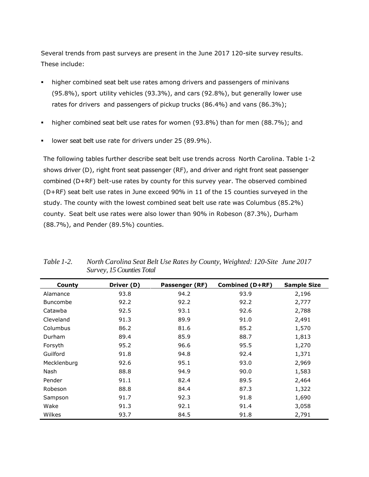Several trends from past surveys are present in the June 2017 120-site survey results. These include:

- higher combined seat belt use rates among drivers and passengers of minivans (95.8%), sport utility vehicles (93.3%), and cars (92.8%), but generally lower use rates for drivers and passengers of pickup trucks (86.4%) and vans (86.3%);
- higher combined seat belt use rates for women (93.8%) than for men (88.7%); and
- **I** lower seat belt use rate for drivers under 25 (89.9%).

The following tables further describe seat belt use trends across North Carolina. Table 1-2 shows driver (D), right front seat passenger (RF), and driver and right front seat passenger combined (D+RF) belt-use rates by county for this survey year. The observed combined (D+RF) seat belt use rates in June exceed 90% in 11 of the 15 counties surveyed in the study. The county with the lowest combined seat belt use rate was Columbus (85.2%) county. Seat belt use rates were also lower than 90% in Robeson (87.3%), Durham (88.7%), and Pender (89.5%) counties.

| County          | Driver (D) | Passenger (RF) | <b>Combined (D+RF)</b> | <b>Sample Size</b> |
|-----------------|------------|----------------|------------------------|--------------------|
| Alamance        | 93.8       | 94.2           | 93.9                   | 2,196              |
| <b>Buncombe</b> | 92.2       | 92.2           | 92.2                   | 2,777              |
| Catawba         | 92.5       | 93.1           | 92.6                   | 2,788              |
| Cleveland       | 91.3       | 89.9           | 91.0                   | 2,491              |
| Columbus        | 86.2       | 81.6           | 85.2                   | 1,570              |
| Durham          | 89.4       | 85.9           | 88.7                   | 1,813              |
| Forsyth         | 95.2       | 96.6           | 95.5                   | 1,270              |
| Guilford        | 91.8       | 94.8           | 92.4                   | 1,371              |
| Mecklenburg     | 92.6       | 95.1           | 93.0                   | 2,969              |
| Nash            | 88.8       | 94.9           | 90.0                   | 1,583              |
| Pender          | 91.1       | 82.4           | 89.5                   | 2,464              |
| Robeson         | 88.8       | 84.4           | 87.3                   | 1,322              |
| Sampson         | 91.7       | 92.3           | 91.8                   | 1,690              |
| Wake            | 91.3       | 92.1           | 91.4                   | 3,058              |
| Wilkes          | 93.7       | 84.5           | 91.8                   | 2,791              |

*Table 1-2. North Carolina Seat Belt Use Rates by County, Weighted: 120-Site June 2017 Survey, 15 Counties Total*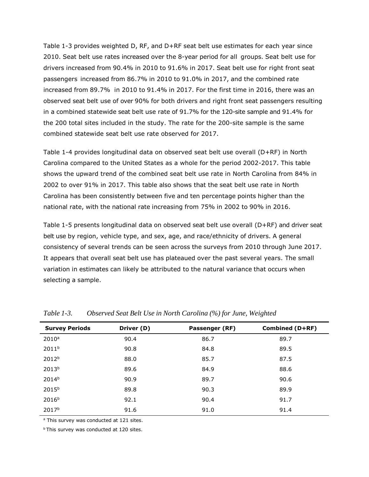Table 1-3 provides weighted D, RF, and D+RF seat belt use estimates for each year since 2010. Seat belt use rates increased over the 8-year period for all groups. Seat belt use for drivers increased from 90.4% in 2010 to 91.6% in 2017. Seat belt use for right front seat passengers increased from 86.7% in 2010 to 91.0% in 2017, and the combined rate increased from 89.7% in 2010 to 91.4% in 2017. For the first time in 2016, there was an observed seat belt use of over 90% for both drivers and right front seat passengers resulting in a combined statewide seat belt use rate of 91.7% for the 120-site sample and 91.4% for the 200 total sites included in the study. The rate for the 200-site sample is the same combined statewide seat belt use rate observed for 2017.

Table 1-4 provides longitudinal data on observed seat belt use overall (D+RF) in North Carolina compared to the United States as a whole for the period 2002-2017. This table shows the upward trend of the combined seat belt use rate in North Carolina from 84% in 2002 to over 91% in 2017. This table also shows that the seat belt use rate in North Carolina has been consistently between five and ten percentage points higher than the national rate, with the national rate increasing from 75% in 2002 to 90% in 2016.

Table 1-5 presents longitudinal data on observed seat belt use overall (D+RF) and driver seat belt use by region, vehicle type, and sex, age, and race/ethnicity of drivers. A general consistency of several trends can be seen across the surveys from 2010 through June 2017. It appears that overall seat belt use has plateaued over the past several years. The small variation in estimates can likely be attributed to the natural variance that occurs when selecting a sample.

| <b>Survey Periods</b> | Driver (D) | Passenger (RF) | Combined (D+RF) |
|-----------------------|------------|----------------|-----------------|
| $2010^a$              | 90.4       | 86.7           | 89.7            |
| 2011 <sup>b</sup>     | 90.8       | 84.8           | 89.5            |
| 2012 <sup>b</sup>     | 88.0       | 85.7           | 87.5            |
| 2013 <sup>b</sup>     | 89.6       | 84.9           | 88.6            |
| 2014 <sup>b</sup>     | 90.9       | 89.7           | 90.6            |
| 2015 <sup>b</sup>     | 89.8       | 90.3           | 89.9            |
| 2016 <sup>b</sup>     | 92.1       | 90.4           | 91.7            |
| 2017 <sup>b</sup>     | 91.6       | 91.0           | 91.4            |

*Table 1-3. Observed Seat Belt Use in North Carolina (%) for June, Weighted*

<sup>a</sup> This survey was conducted at 121 sites.

**bThis survey was conducted at 120 sites.**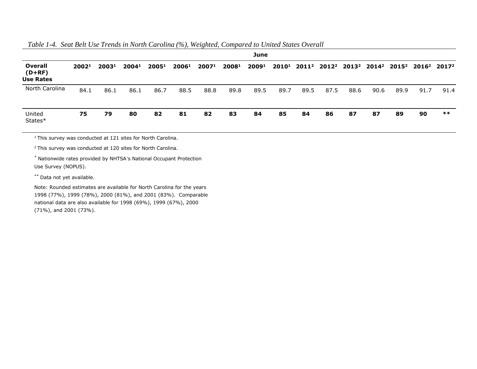### *Table 1-4. Seat Belt Use Trends in North Carolina (%), Weighted, Compared to United States Overall*

| June                                           |       |                   |       |                   |                   |                   |                   |                   |      |      |      |      |      |      |                                                                                                                                                 |       |
|------------------------------------------------|-------|-------------------|-------|-------------------|-------------------|-------------------|-------------------|-------------------|------|------|------|------|------|------|-------------------------------------------------------------------------------------------------------------------------------------------------|-------|
| <b>Overall</b><br>$(D+RF)$<br><b>Use Rates</b> | 20021 | 2003 <sup>1</sup> | 20041 | 2005 <sup>1</sup> | 2006 <sup>1</sup> | 2007 <sup>1</sup> | 2008 <sup>1</sup> | 2009 <sup>1</sup> |      |      |      |      |      |      | 2010 <sup>1</sup> 2011 <sup>2</sup> 2012 <sup>2</sup> 2013 <sup>2</sup> 2014 <sup>2</sup> 2015 <sup>2</sup> 2016 <sup>2</sup> 2017 <sup>2</sup> |       |
| North Carolina                                 | 84.1  | 86.1              | 86.1  | 86.7              | 88.5              | 88.8              | 89.8              | 89.5              | 89.7 | 89.5 | 87.5 | 88.6 | 90.6 | 89.9 | 91.7                                                                                                                                            | 91.4  |
| United<br>States*                              | 75    | 79                | 80    | 82                | 81                | 82                | 83                | 84                | 85   | 84   | 86   | 87   | 87   | 89   | 90                                                                                                                                              | $***$ |

 $1$ This survey was conducted at 121 sites for North Carolina.

<sup>2</sup> This survey was conducted at 120 sites for North Carolina.

\* Nationwide rates provided by NHTSA's National Occupant Protection Use Survey (NOPUS).

\*\* Data not yet available.

Note: Rounded estimates are available for North Carolina for the years 1998 (77%), 1999 (78%), 2000 (81%), and 2001 (83%). Comparable national data are also available for 1998 (69%), 1999 (67%), 2000 (71%), and 2001 (73%).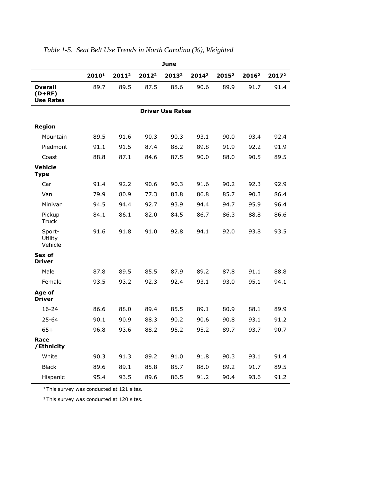|                                                | June  |                   |                   |                         |                   |                   |                   |                   |
|------------------------------------------------|-------|-------------------|-------------------|-------------------------|-------------------|-------------------|-------------------|-------------------|
|                                                | 20101 | 2011 <sup>2</sup> | 2012 <sup>2</sup> | 2013 <sup>2</sup>       | 2014 <sup>2</sup> | 2015 <sup>2</sup> | 2016 <sup>2</sup> | 2017 <sup>2</sup> |
| <b>Overall</b><br>$(D+RF)$<br><b>Use Rates</b> | 89.7  | 89.5              | 87.5              | 88.6                    | 90.6              | 89.9              | 91.7              | 91.4              |
|                                                |       |                   |                   | <b>Driver Use Rates</b> |                   |                   |                   |                   |
| <b>Region</b>                                  |       |                   |                   |                         |                   |                   |                   |                   |
| Mountain                                       | 89.5  | 91.6              | 90.3              | 90.3                    | 93.1              | 90.0              | 93.4              | 92.4              |
| Piedmont                                       | 91.1  | 91.5              | 87.4              | 88.2                    | 89.8              | 91.9              | 92.2              | 91.9              |
| Coast                                          | 88.8  | 87.1              | 84.6              | 87.5                    | 90.0              | 88.0              | 90.5              | 89.5              |
| <b>Vehicle</b><br><b>Type</b>                  |       |                   |                   |                         |                   |                   |                   |                   |
| Car                                            | 91.4  | 92.2              | 90.6              | 90.3                    | 91.6              | 90.2              | 92.3              | 92.9              |
| Van                                            | 79.9  | 80.9              | 77.3              | 83.8                    | 86.8              | 85.7              | 90.3              | 86.4              |
| Minivan                                        | 94.5  | 94.4              | 92.7              | 93.9                    | 94.4              | 94.7              | 95.9              | 96.4              |
| Pickup<br><b>Truck</b>                         | 84.1  | 86.1              | 82.0              | 84.5                    | 86.7              | 86.3              | 88.8              | 86.6              |
| Sport-<br>Utility<br>Vehicle                   | 91.6  | 91.8              | 91.0              | 92.8                    | 94.1              | 92.0              | 93.8              | 93.5              |
| Sex of<br><b>Driver</b>                        |       |                   |                   |                         |                   |                   |                   |                   |
| Male                                           | 87.8  | 89.5              | 85.5              | 87.9                    | 89.2              | 87.8              | 91.1              | 88.8              |
| Female                                         | 93.5  | 93.2              | 92.3              | 92.4                    | 93.1              | 93.0              | 95.1              | 94.1              |
| Age of<br><b>Driver</b>                        |       |                   |                   |                         |                   |                   |                   |                   |
| $16 - 24$                                      | 86.6  | 88.0              | 89.4              | 85.5                    | 89.1              | 80.9              | 88.1              | 89.9              |
| 25-64                                          | 90.1  | 90.9              | 88.3              | 90.2                    | 90.6              | 90.8              | 93.1              | 91.2              |
| $65+$                                          | 96.8  | 93.6              | 88.2              | 95.2                    | 95.2              | 89.7              | 93.7              | 90.7              |
| Race<br>/Ethnicity                             |       |                   |                   |                         |                   |                   |                   |                   |
| White                                          | 90.3  | 91.3              | 89.2              | 91.0                    | 91.8              | 90.3              | 93.1              | 91.4              |
| <b>Black</b>                                   | 89.6  | 89.1              | 85.8              | 85.7                    | 88.0              | 89.2              | 91.7              | 89.5              |
| Hispanic                                       | 95.4  | 93.5              | 89.6              | 86.5                    | 91.2              | 90.4              | 93.6              | 91.2              |

*Table 1-5. Seat Belt Use Trends in North Carolina (%), Weighted*

 $1$  This survey was conducted at 121 sites.

 $2$  This survey was conducted at 120 sites.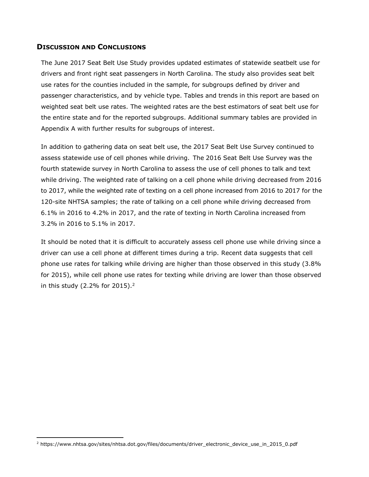### **DISCUSSION AND CONCLUSIONS**

The June 2017 Seat Belt Use Study provides updated estimates of statewide seatbelt use for drivers and front right seat passengers in North Carolina. The study also provides seat belt use rates for the counties included in the sample, for subgroups defined by driver and passenger characteristics, and by vehicle type. Tables and trends in this report are based on weighted seat belt use rates. The weighted rates are the best estimators of seat belt use for the entire state and for the reported subgroups. Additional summary tables are provided in Appendix A with further results for subgroups of interest.

In addition to gathering data on seat belt use, the 2017 Seat Belt Use Survey continued to assess statewide use of cell phones while driving. The 2016 Seat Belt Use Survey was the fourth statewide survey in North Carolina to assess the use of cell phones to talk and text while driving. The weighted rate of talking on a cell phone while driving decreased from 2016 to 2017, while the weighted rate of texting on a cell phone increased from 2016 to 2017 for the 120-site NHTSA samples; the rate of talking on a cell phone while driving decreased from 6.1% in 2016 to 4.2% in 2017, and the rate of texting in North Carolina increased from 3.2% in 2016 to 5.1% in 2017.

It should be noted that it is difficult to accurately assess cell phone use while driving since a driver can use a cell phone at different times during a trip. Recent data suggests that cell phone use rates for talking while driving are higher than those observed in this study (3.8% for 2015), while cell phone use rates for texting while driving are lower than those observed in this study (2.2% for 2015).<sup>2</sup>

 $\overline{a}$ 

<sup>2</sup> https://www.nhtsa.gov/sites/nhtsa.dot.gov/files/documents/driver\_electronic\_device\_use\_in\_2015\_0.pdf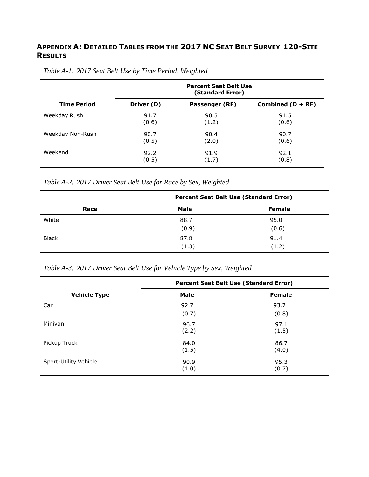# **APPENDIX A: DETAILED TABLES FROM THE 2017 NC SEAT BELT SURVEY 120-SITE RESULTS**

|                    |            | <b>Percent Seat Belt Use</b><br>(Standard Error) |                     |
|--------------------|------------|--------------------------------------------------|---------------------|
| <b>Time Period</b> | Driver (D) | Passenger (RF)                                   | Combined $(D + RF)$ |
| Weekday Rush       | 91.7       | 90.5                                             | 91.5                |
|                    | (0.6)      | (1.2)                                            | (0.6)               |
| Weekday Non-Rush   | 90.7       | 90.4                                             | 90.7                |
|                    | (0.5)      | (2.0)                                            | (0.6)               |
| Weekend            | 92.2       | 91.9                                             | 92.1                |
|                    | (0.5)      | (1.7)                                            | (0.8)               |

# *Table A-1. 2017 Seat Belt Use by Time Period, Weighted*

*Table A-2. 2017 Driver Seat Belt Use for Race by Sex, Weighted*

|              | <b>Percent Seat Belt Use (Standard Error)</b> |               |  |  |  |
|--------------|-----------------------------------------------|---------------|--|--|--|
| Race         | <b>Male</b>                                   | <b>Female</b> |  |  |  |
| White        | 88.7                                          | 95.0          |  |  |  |
|              | (0.9)                                         | (0.6)         |  |  |  |
| <b>Black</b> | 87.8                                          | 91.4          |  |  |  |
|              | (1.3)                                         | (1.2)         |  |  |  |

*Table A-3. 2017 Driver Seat Belt Use for Vehicle Type by Sex, Weighted*

|                       | <b>Percent Seat Belt Use (Standard Error)</b> |               |  |  |
|-----------------------|-----------------------------------------------|---------------|--|--|
| <b>Vehicle Type</b>   | <b>Male</b>                                   | <b>Female</b> |  |  |
| Car                   | 92.7                                          | 93.7          |  |  |
|                       | (0.7)                                         | (0.8)         |  |  |
| Minivan               | 96.7<br>(2.2)                                 | 97.1<br>(1.5) |  |  |
| Pickup Truck          | 84.0<br>(1.5)                                 | 86.7<br>(4.0) |  |  |
| Sport-Utility Vehicle | 90.9<br>(1.0)                                 | 95.3<br>(0.7) |  |  |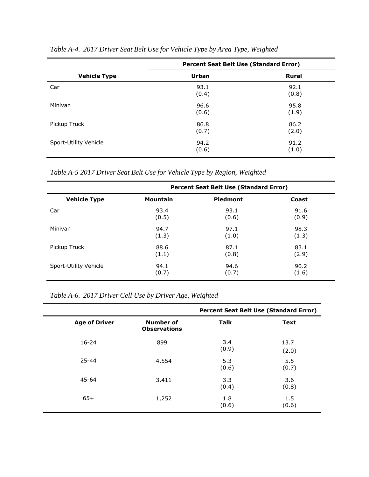|                       | <b>Percent Seat Belt Use (Standard Error)</b> |               |  |  |  |
|-----------------------|-----------------------------------------------|---------------|--|--|--|
| <b>Vehicle Type</b>   | Urban                                         | <b>Rural</b>  |  |  |  |
| Car                   | 93.1<br>(0.4)                                 | 92.1<br>(0.8) |  |  |  |
| Minivan               | 96.6<br>(0.6)                                 | 95.8<br>(1.9) |  |  |  |
| Pickup Truck          | 86.8<br>(0.7)                                 | 86.2<br>(2.0) |  |  |  |
| Sport-Utility Vehicle | 94.2<br>(0.6)                                 | 91.2<br>(1.0) |  |  |  |

*Table A-4. 2017 Driver Seat Belt Use for Vehicle Type by Area Type, Weighted*

*Table A-5 2017 Driver Seat Belt Use for Vehicle Type by Region, Weighted*

|                       | Percent Seat Belt Use (Standard Error) |                 |       |  |  |  |
|-----------------------|----------------------------------------|-----------------|-------|--|--|--|
| <b>Vehicle Type</b>   | <b>Mountain</b>                        | <b>Piedmont</b> | Coast |  |  |  |
| Car                   | 93.4                                   | 93.1            | 91.6  |  |  |  |
|                       | (0.5)                                  | (0.6)           | (0.9) |  |  |  |
| Minivan               | 94.7                                   | 97.1            | 98.3  |  |  |  |
|                       | (1.3)                                  | (1.0)           | (1.3) |  |  |  |
| Pickup Truck          | 88.6                                   | 87.1            | 83.1  |  |  |  |
|                       | (1.1)                                  | (0.8)           | (2.9) |  |  |  |
| Sport-Utility Vehicle | 94.1                                   | 94.6            | 90.2  |  |  |  |
|                       | (0.7)                                  | (0.7)           | (1.6) |  |  |  |

*Table A-6. 2017 Driver Cell Use by Driver Age, Weighted*

|                      |                                         |              | <b>Percent Seat Belt Use (Standard Error)</b> |
|----------------------|-----------------------------------------|--------------|-----------------------------------------------|
| <b>Age of Driver</b> | <b>Number of</b><br><b>Observations</b> | <b>Talk</b>  | <b>Text</b>                                   |
| $16 - 24$            | 899                                     | 3.4<br>(0.9) | 13.7<br>(2.0)                                 |
| $25 - 44$            | 4,554                                   | 5.3<br>(0.6) | 5.5<br>(0.7)                                  |
| 45-64                | 3,411                                   | 3.3<br>(0.4) | 3.6<br>(0.8)                                  |
| $65+$                | 1,252                                   | 1.8<br>(0.6) | 1.5<br>(0.6)                                  |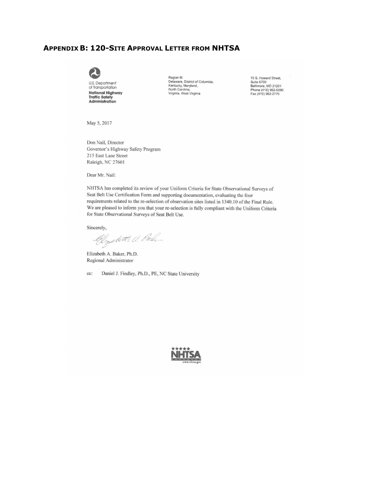#### **APPENDIX B: 120-SITE APPROVAL LETTER FROM NHTSA**



Administration

Region III<br>Delaware, District of Columbia,<br>Kentucky, Maryland,<br>North Carolina,<br>Virginia, West Virginia

10 S. Howard Street,<br>Suite 6700<br>Baltimore, MD 21201<br>Phone (410) 962-0090<br>Fax (410) 962-2770

May 5, 2017

Don Nail, Director Governor's Highway Safety Program 215 East Lane Street Raleigh, NC 27601

Dear Mr. Nail:

NHTSA has completed its review of your Uniform Criteria for State Observational Surveys of Seat Belt Use Certification Form and supporting documentation, evaluating the four requirements related to the re-selection of observation sites listed in 1340.10 of the Final Rule. We are pleased to inform you that your re-selection is fully compliant with the Uniform Criteria for State Observational Surveys of Seat Belt Use.

Sincerely,

Glystett a. Bolin

Elizabeth A. Baker, Ph.D. Regional Administrator

cc: Daniel J. Findley, Ph.D., PE, NC State University

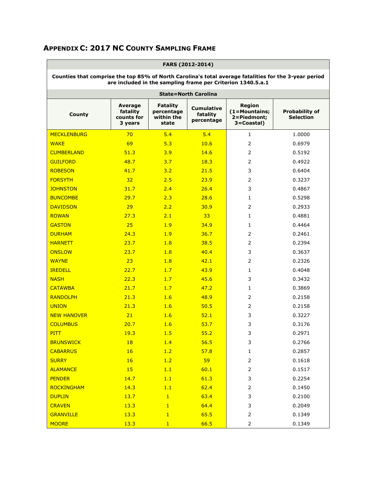|                                                                                                                                                                      | FARS (2012-2014)                             |                                                      |                                             |                                                      |                                           |  |  |
|----------------------------------------------------------------------------------------------------------------------------------------------------------------------|----------------------------------------------|------------------------------------------------------|---------------------------------------------|------------------------------------------------------|-------------------------------------------|--|--|
| Counties that comprise the top 85% of North Carolina's total average fatalities for the 3-year period<br>are included in the sampling frame per Criterion 1340.5.a.1 |                                              |                                                      |                                             |                                                      |                                           |  |  |
|                                                                                                                                                                      |                                              |                                                      | <b>State=North Carolina</b>                 |                                                      |                                           |  |  |
| <b>County</b>                                                                                                                                                        | Average<br>fatality<br>counts for<br>3 years | <b>Fatality</b><br>percentage<br>within the<br>state | <b>Cumulative</b><br>fatality<br>percentage | Region<br>(1=Mountains;<br>2=Piedmont;<br>3=Coastal) | <b>Probability of</b><br><b>Selection</b> |  |  |
| <b>MECKLENBURG</b>                                                                                                                                                   | 70                                           | 5.4                                                  | 5.4                                         | $\mathbf{1}$                                         | 1.0000                                    |  |  |
| <b>WAKE</b>                                                                                                                                                          | 69                                           | 5.3                                                  | 10.6                                        | $\overline{2}$                                       | 0.6979                                    |  |  |
| <b>CUMBERLAND</b>                                                                                                                                                    | 51.3                                         | 3.9                                                  | 14.6                                        | $\overline{2}$                                       | 0.5192                                    |  |  |
| <b>GUILFORD</b>                                                                                                                                                      | 48.7                                         | 3.7                                                  | 18.3                                        | $\overline{2}$                                       | 0.4922                                    |  |  |
| <b>ROBESON</b>                                                                                                                                                       | 41.7                                         | 3.2                                                  | 21.5                                        | 3                                                    | 0.6404                                    |  |  |
| <b>FORSYTH</b>                                                                                                                                                       | 32                                           | 2.5                                                  | 23.9                                        | 2                                                    | 0.3237                                    |  |  |
| <b>JOHNSTON</b>                                                                                                                                                      | 31.7                                         | 2.4                                                  | 26.4                                        | 3                                                    | 0.4867                                    |  |  |
| <b>BUNCOMBE</b>                                                                                                                                                      | 29.7                                         | 2.3                                                  | 28.6                                        | 1                                                    | 0.5298                                    |  |  |
| <b>DAVIDSON</b>                                                                                                                                                      | 29                                           | 2.2                                                  | 30.9                                        | $\overline{2}$                                       | 0.2933                                    |  |  |
| <b>ROWAN</b>                                                                                                                                                         | 27.3                                         | 2.1                                                  | 33                                          | 1                                                    | 0.4881                                    |  |  |
| <b>GASTON</b>                                                                                                                                                        | 25                                           | 1.9                                                  | 34.9                                        | 1                                                    | 0.4464                                    |  |  |
| <b>DURHAM</b>                                                                                                                                                        | 24.3                                         | 1.9                                                  | 36.7                                        | $\overline{2}$                                       | 0.2461                                    |  |  |
| <b>HARNETT</b>                                                                                                                                                       | 23.7                                         | 1.8                                                  | 38.5                                        | $\overline{2}$                                       | 0.2394                                    |  |  |
| <b>ONSLOW</b>                                                                                                                                                        | 23.7                                         | 1.8                                                  | 40.4                                        | 3                                                    | 0.3637                                    |  |  |
| <b>WAYNE</b>                                                                                                                                                         | 23                                           | 1.8                                                  | 42.1                                        | 2                                                    | 0.2326                                    |  |  |
| <b>IREDELL</b>                                                                                                                                                       | 22.7                                         | 1.7                                                  | 43.9                                        | 1                                                    | 0.4048                                    |  |  |
| <b>NASH</b>                                                                                                                                                          | 22.3                                         | 1.7                                                  | 45.6                                        | 3                                                    | 0.3432                                    |  |  |
| <b>CATAWBA</b>                                                                                                                                                       | 21.7                                         | 1.7                                                  | 47.2                                        | 1                                                    | 0.3869                                    |  |  |
| <b>RANDOLPH</b>                                                                                                                                                      | 21.3                                         | 1.6                                                  | 48.9                                        | 2                                                    | 0.2158                                    |  |  |
| <b>UNION</b>                                                                                                                                                         | 21.3                                         | 1.6                                                  | 50.5                                        | $\overline{2}$                                       | 0.2158                                    |  |  |
| <b>NEW HANOVER</b>                                                                                                                                                   | 21                                           | 1.6                                                  | 52.1                                        | 3                                                    | 0.3227                                    |  |  |
| <b>COLUMBUS</b>                                                                                                                                                      | 20.7                                         | 1.6                                                  | 53.7                                        | 3                                                    | 0.3176                                    |  |  |
| <u>PITT</u>                                                                                                                                                          | 19.3                                         | 1.5                                                  | 55.2                                        | 3                                                    | 0.2971                                    |  |  |
| <b>BRUNSWICK</b>                                                                                                                                                     | 18                                           | 1.4                                                  | 56.5                                        | 3                                                    | 0.2766                                    |  |  |
| <b>CABARRUS</b>                                                                                                                                                      | 16                                           | 1.2                                                  | 57.8                                        | $\mathbf{1}$                                         | 0.2857                                    |  |  |
| <b>SURRY</b>                                                                                                                                                         | 16                                           | 1.2                                                  | 59                                          | $\overline{2}$                                       | 0.1618                                    |  |  |
| <b>ALAMANCE</b>                                                                                                                                                      | 15                                           | 1.1                                                  | 60.1                                        | $\mathsf{2}\,$                                       | 0.1517                                    |  |  |
| <b>PENDER</b>                                                                                                                                                        | 14.7                                         | 1.1                                                  | 61.3                                        | 3                                                    | 0.2254                                    |  |  |
| <b>ROCKINGHAM</b>                                                                                                                                                    | 14.3                                         | 1.1                                                  | 62.4                                        | $\overline{2}$                                       | 0.1450                                    |  |  |
| <b>DUPLIN</b>                                                                                                                                                        | 13.7                                         | $\mathbf{1}$                                         | 63.4                                        | 3                                                    | 0.2100                                    |  |  |
| <b>CRAVEN</b>                                                                                                                                                        | 13.3                                         | $\mathbf{1}$                                         | 64.4                                        | 3                                                    | 0.2049                                    |  |  |
| <b>GRANVILLE</b>                                                                                                                                                     | 13.3                                         | $\mathbf{1}$                                         | 65.5                                        | $\overline{2}$                                       | 0.1349                                    |  |  |
| <b>MOORE</b>                                                                                                                                                         | 13.3                                         | $\mathbf{1}$                                         | 66.5                                        | $\overline{2}$                                       | 0.1349                                    |  |  |

# **APPENDIX C: 2017 NC COUNTY SAMPLING FRAME**

 $\overline{\phantom{0}}$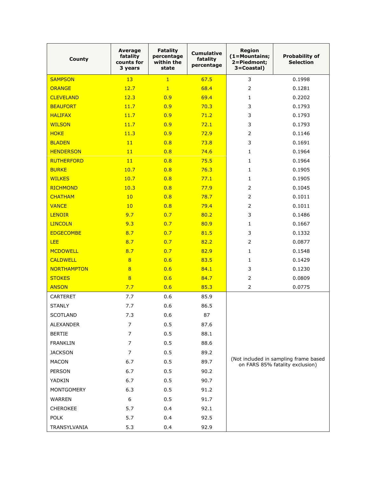| <b>County</b>      | Average<br>fatality<br>counts for<br>3 years | <b>Fatality</b><br>percentage<br>within the<br>state | <b>Cumulative</b><br>fatality<br>percentage | Region<br>(1=Mountains;<br>2=Piedmont;<br>3=Coastal) | <b>Probability of</b><br><b>Selection</b> |  |
|--------------------|----------------------------------------------|------------------------------------------------------|---------------------------------------------|------------------------------------------------------|-------------------------------------------|--|
| <b>SAMPSON</b>     | 13                                           | $\overline{1}$                                       | 67.5                                        | 3                                                    | 0.1998                                    |  |
| <b>ORANGE</b>      | 12.7                                         | $\mathbf{1}$                                         | 68.4                                        | $\overline{2}$                                       | 0.1281                                    |  |
| <b>CLEVELAND</b>   | 12.3                                         | 0.9                                                  | 69.4                                        | $\mathbf{1}$                                         | 0.2202                                    |  |
| <b>BEAUFORT</b>    | 11.7                                         | 0.9                                                  | 70.3                                        | 3                                                    | 0.1793                                    |  |
| <b>HALIFAX</b>     | 11.7                                         | 0.9                                                  | 71.2                                        | 3                                                    | 0.1793                                    |  |
| <b>WILSON</b>      | 11.7                                         | 0.9                                                  | 72.1                                        | 3                                                    | 0.1793                                    |  |
| <b>HOKE</b>        | 11.3                                         | 0.9                                                  | 72.9                                        | $\overline{2}$                                       | 0.1146                                    |  |
| <b>BLADEN</b>      | 11                                           | 0.8                                                  | 73.8                                        | 3                                                    | 0.1691                                    |  |
| <b>HENDERSON</b>   | 11                                           | 0.8                                                  | 74.6                                        | $\mathbf{1}$                                         | 0.1964                                    |  |
| <b>RUTHERFORD</b>  | 11                                           | 0.8                                                  | 75.5                                        | $\mathbf{1}$                                         | 0.1964                                    |  |
| <b>BURKE</b>       | 10.7                                         | 0.8                                                  | 76.3                                        | $\mathbf{1}$                                         | 0.1905                                    |  |
| <b>WILKES</b>      | 10.7                                         | 0.8                                                  | 77.1                                        | $\mathbf{1}$                                         | 0.1905                                    |  |
| <b>RICHMOND</b>    | 10.3                                         | 0.8                                                  | 77.9                                        | $\overline{2}$                                       | 0.1045                                    |  |
| <b>CHATHAM</b>     | 10                                           | 0.8                                                  | 78.7                                        | $\overline{2}$                                       | 0.1011                                    |  |
| <b>VANCE</b>       | 10                                           | 0.8                                                  | 79.4                                        | $\overline{2}$                                       | 0.1011                                    |  |
| <b>LENOIR</b>      | 9.7                                          | 0.7                                                  | 80.2                                        | 3                                                    | 0.1486                                    |  |
| <b>LINCOLN</b>     | 9.3                                          | 0.7                                                  | 80.9                                        | $\mathbf{1}$                                         | 0.1667                                    |  |
| <b>EDGECOMBE</b>   | 8.7                                          | 0.7                                                  | 81.5                                        | 3                                                    | 0.1332                                    |  |
| <b>LEE</b>         | 8.7                                          | 0.7                                                  | 82.2                                        | $\overline{2}$                                       | 0.0877                                    |  |
| <b>MCDOWELL</b>    | 8.7                                          | 0.7                                                  | 82.9                                        | 1                                                    | 0.1548                                    |  |
| <b>CALDWELL</b>    | 8                                            | 0.6                                                  | 83.5                                        | 1                                                    | 0.1429                                    |  |
| <b>NORTHAMPTON</b> | 8                                            | 0.6                                                  | 84.1                                        | 3                                                    | 0.1230                                    |  |
| <b>STOKES</b>      | 8                                            | 0.6                                                  | 84.7                                        | $\overline{2}$                                       | 0.0809                                    |  |
| <b>ANSON</b>       | 7.7                                          | 0.6                                                  | 85.3                                        | 2                                                    | 0.0775                                    |  |
| <b>CARTERET</b>    | 7.7                                          | 0.6                                                  | 85.9                                        |                                                      |                                           |  |
| <b>STANLY</b>      | 7.7                                          | 0.6                                                  | 86.5                                        |                                                      |                                           |  |
| <b>SCOTLAND</b>    | 7.3                                          | 0.6                                                  | 87                                          |                                                      |                                           |  |
| ALEXANDER          | $\overline{7}$                               | 0.5                                                  | 87.6                                        |                                                      |                                           |  |
| <b>BERTIE</b>      | $\overline{7}$                               | 0.5                                                  | 88.1                                        |                                                      |                                           |  |
| <b>FRANKLIN</b>    | $\overline{7}$                               | 0.5                                                  | 88.6                                        |                                                      |                                           |  |
| <b>JACKSON</b>     | $\overline{7}$                               | 0.5                                                  | 89.2                                        |                                                      |                                           |  |
| <b>MACON</b>       | 6.7                                          | 0.5                                                  | 89.7                                        |                                                      | (Not included in sampling frame based     |  |
| PERSON             | 6.7                                          | 0.5                                                  | 90.2                                        |                                                      | on FARS 85% fatality exclusion)           |  |
| YADKIN             | 6.7                                          | 0.5                                                  | 90.7                                        |                                                      |                                           |  |
| <b>MONTGOMERY</b>  | 6.3                                          | 0.5                                                  | 91.2                                        |                                                      |                                           |  |
| <b>WARREN</b>      | 6                                            | 0.5                                                  | 91.7                                        |                                                      |                                           |  |
| <b>CHEROKEE</b>    | 5.7                                          | 0.4                                                  | 92.1                                        |                                                      |                                           |  |
| <b>POLK</b>        | 5.7                                          | 0.4                                                  | 92.5                                        |                                                      |                                           |  |
| TRANSYLVANIA       | 5.3                                          | 0.4                                                  | 92.9                                        |                                                      |                                           |  |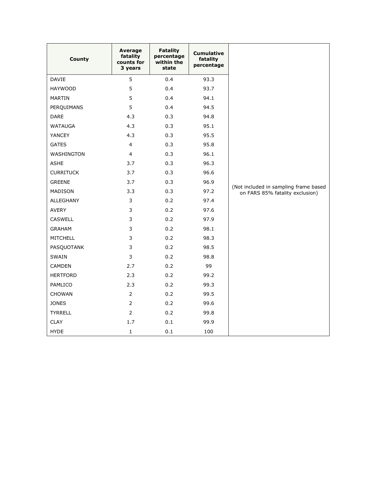| <b>County</b>    | Average<br>fatality<br>counts for<br>3 years | <b>Fatality</b><br>percentage<br>within the<br>state | <b>Cumulative</b><br>fatality<br>percentage |                                                                          |
|------------------|----------------------------------------------|------------------------------------------------------|---------------------------------------------|--------------------------------------------------------------------------|
| DAVIE            | 5                                            | 0.4                                                  | 93.3                                        |                                                                          |
| <b>HAYWOOD</b>   | 5                                            | 0.4                                                  | 93.7                                        |                                                                          |
| <b>MARTIN</b>    | 5                                            | 0.4                                                  | 94.1                                        |                                                                          |
| PERQUIMANS       | 5                                            | 0.4                                                  | 94.5                                        |                                                                          |
| <b>DARE</b>      | 4.3                                          | 0.3                                                  | 94.8                                        |                                                                          |
| <b>WATAUGA</b>   | 4.3                                          | 0.3                                                  | 95.1                                        |                                                                          |
| YANCEY           | 4.3                                          | 0.3                                                  | 95.5                                        |                                                                          |
| <b>GATES</b>     | $\overline{4}$                               | 0.3                                                  | 95.8                                        |                                                                          |
| WASHINGTON       | $\overline{4}$                               | 0.3                                                  | 96.1                                        |                                                                          |
| <b>ASHE</b>      | 3.7                                          | 0.3                                                  | 96.3                                        |                                                                          |
| <b>CURRITUCK</b> | 3.7                                          | 0.3                                                  | 96.6                                        |                                                                          |
| <b>GREENE</b>    | 3.7                                          | 0.3                                                  | 96.9                                        |                                                                          |
| MADISON          | 3.3                                          | 0.3                                                  | 97.2                                        | (Not included in sampling frame based<br>on FARS 85% fatality exclusion) |
| ALLEGHANY        | 3                                            | 0.2                                                  | 97.4                                        |                                                                          |
| AVERY            | 3                                            | 0.2                                                  | 97.6                                        |                                                                          |
| <b>CASWELL</b>   | 3                                            | 0.2                                                  | 97.9                                        |                                                                          |
| <b>GRAHAM</b>    | 3                                            | 0.2                                                  | 98.1                                        |                                                                          |
| <b>MITCHELL</b>  | 3                                            | 0.2                                                  | 98.3                                        |                                                                          |
| PASQUOTANK       | 3                                            | 0.2                                                  | 98.5                                        |                                                                          |
| SWAIN            | 3                                            | 0.2                                                  | 98.8                                        |                                                                          |
| <b>CAMDEN</b>    | 2.7                                          | 0.2                                                  | 99                                          |                                                                          |
| <b>HERTFORD</b>  | 2.3                                          | 0.2                                                  | 99.2                                        |                                                                          |
| PAMLICO          | 2.3                                          | 0.2                                                  | 99.3                                        |                                                                          |
| <b>CHOWAN</b>    | $\overline{2}$                               | 0.2                                                  | 99.5                                        |                                                                          |
| <b>JONES</b>     | $\overline{2}$                               | 0.2                                                  | 99.6                                        |                                                                          |
| <b>TYRRELL</b>   | $\overline{2}$                               | 0.2                                                  | 99.8                                        |                                                                          |
| <b>CLAY</b>      | 1.7                                          | 0.1                                                  | 99.9                                        |                                                                          |
| <b>HYDE</b>      | $\mathbf{1}$                                 | 0.1                                                  | 100                                         |                                                                          |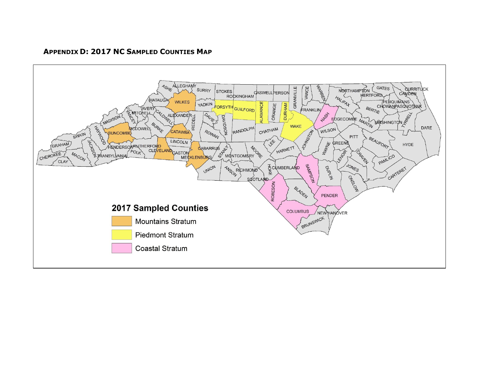**APPENDIX D: 2017 NC SAMPLED COUNTIES MAP**

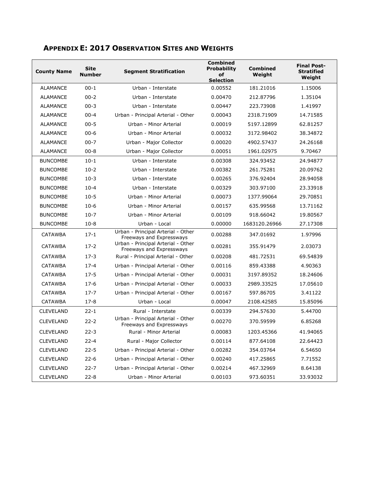| <b>County Name</b> | <b>Site</b><br><b>Number</b> | <b>Segment Stratification</b>                                  | <b>Combined</b><br><b>Probability</b><br>of |               |          |
|--------------------|------------------------------|----------------------------------------------------------------|---------------------------------------------|---------------|----------|
|                    |                              |                                                                | <b>Selection</b>                            |               | Weight   |
| <b>ALAMANCE</b>    | $00 - 1$                     | Urban - Interstate                                             | 0.00552                                     | 181.21016     | 1.15006  |
| ALAMANCE           | $00 - 2$                     | Urban - Interstate                                             | 0.00470                                     | 212.87796     | 1.35104  |
| <b>ALAMANCE</b>    | $00 - 3$                     | Urban - Interstate                                             | 0.00447                                     | 223.73908     | 1.41997  |
| <b>ALAMANCE</b>    | $00 - 4$                     | Urban - Principal Arterial - Other                             | 0.00043                                     | 2318.71909    | 14.71585 |
| <b>ALAMANCE</b>    | $00 - 5$                     | Urban - Minor Arterial                                         | 0.00019                                     | 5197.12899    | 62.81257 |
| ALAMANCE           | $00 - 6$                     | Urban - Minor Arterial                                         | 0.00032                                     | 3172.98402    | 38.34872 |
| <b>ALAMANCE</b>    | $00 - 7$                     | Urban - Major Collector                                        | 0.00020                                     | 4902.57437    | 24.26168 |
| <b>ALAMANCE</b>    | $00 - 8$                     | Urban - Major Collector                                        | 0.00051                                     | 1961.02975    | 9.70467  |
| <b>BUNCOMBE</b>    | $10-1$                       | Urban - Interstate                                             | 0.00308                                     | 324.93452     | 24.94877 |
| <b>BUNCOMBE</b>    | $10-2$                       | Urban - Interstate                                             | 0.00382                                     | 261.75281     | 20.09762 |
| <b>BUNCOMBE</b>    | $10-3$                       | Urban - Interstate                                             | 0.00265                                     | 376.92404     | 28.94058 |
| <b>BUNCOMBE</b>    | $10 - 4$                     | Urban - Interstate                                             | 0.00329                                     | 303.97100     | 23.33918 |
| <b>BUNCOMBE</b>    | $10-5$                       | Urban - Minor Arterial                                         | 0.00073<br>1377.99064                       |               | 29.70851 |
| <b>BUNCOMBE</b>    | $10-6$                       | Urban - Minor Arterial<br>0.00157                              |                                             | 635.99568     | 13.71162 |
| <b>BUNCOMBE</b>    | $10-7$                       | Urban - Minor Arterial                                         | 0.00109<br>918.66042                        |               | 19.80567 |
| <b>BUNCOMBE</b>    | $10 - 8$                     | Urban - Local                                                  | 0.00000                                     | 1683120.26966 | 27.17308 |
| <b>CATAWBA</b>     | $17 - 1$                     | Urban - Principal Arterial - Other<br>Freeways and Expressways | 0.00288                                     | 347.01692     | 1.97996  |
| <b>CATAWBA</b>     | $17-2$                       | Urban - Principal Arterial - Other<br>Freeways and Expressways | 0.00281                                     | 355.91479     | 2.03073  |
| <b>CATAWBA</b>     | $17-3$                       | Rural - Principal Arterial - Other                             | 0.00208<br>481.72531                        |               | 69.54839 |
| <b>CATAWBA</b>     | $17 - 4$                     | Urban - Principal Arterial - Other                             | 0.00116<br>859.43388                        |               | 4.90363  |
| <b>CATAWBA</b>     | $17 - 5$                     | Urban - Principal Arterial - Other                             | 0.00031<br>3197.89352                       |               | 18.24606 |
| <b>CATAWBA</b>     | $17-6$                       | Urban - Principal Arterial - Other                             | 0.00033                                     | 2989.33525    | 17.05610 |
| <b>CATAWBA</b>     | $17 - 7$                     | Urban - Principal Arterial - Other                             | 0.00167                                     | 597.86705     | 3.41122  |
| <b>CATAWBA</b>     | $17 - 8$                     | Urban - Local                                                  | 0.00047                                     | 2108.42585    | 15.85096 |
| <b>CLEVELAND</b>   | $22 - 1$                     | Rural - Interstate                                             | 0.00339                                     | 294.57630     | 5.44700  |
| <b>CLEVELAND</b>   | $22 - 2$                     | Urban - Principal Arterial - Other<br>Freeways and Expressways | 0.00270                                     | 370.59599     | 6.85268  |
| <b>CLEVELAND</b>   | $22 - 3$                     | Rural - Minor Arterial                                         | 0.00083                                     | 1203.45366    | 41.94065 |
| <b>CLEVELAND</b>   | $22 - 4$                     | Rural - Major Collector                                        | 0.00114                                     | 877.64108     | 22.64423 |
| <b>CLEVELAND</b>   | $22 - 5$                     | Urban - Principal Arterial - Other                             | 0.00282                                     | 354.03764     | 6.54650  |
| <b>CLEVELAND</b>   | $22 - 6$                     | Urban - Principal Arterial - Other                             | 0.00240                                     | 417.25865     | 7.71552  |
| <b>CLEVELAND</b>   | $22 - 7$                     | Urban - Principal Arterial - Other                             | 0.00214<br>467.32969                        |               | 8.64138  |
| <b>CLEVELAND</b>   | $22 - 8$                     | Urban - Minor Arterial                                         | 0.00103                                     | 973.60351     | 33.93032 |

# **APPENDIX E: 2017 OBSERVATION SITES AND WEIGHTS**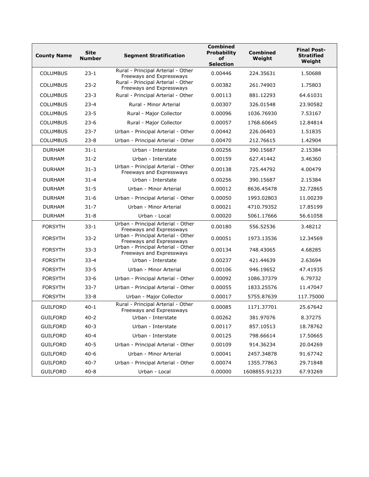| <b>County Name</b> | <b>Site</b><br><b>Number</b> | <b>Segment Stratification</b>                                  | <b>Combined</b><br><b>Probability</b><br>of<br><b>Selection</b> | <b>Combined</b><br>Weight | <b>Final Post-</b><br><b>Stratified</b><br>Weight |
|--------------------|------------------------------|----------------------------------------------------------------|-----------------------------------------------------------------|---------------------------|---------------------------------------------------|
| <b>COLUMBUS</b>    | $23 - 1$                     | Rural - Principal Arterial - Other<br>Freeways and Expressways | 0.00446<br>224.35631                                            |                           | 1.50688                                           |
| <b>COLUMBUS</b>    | $23 - 2$                     | Rural - Principal Arterial - Other<br>Freeways and Expressways | 0.00382                                                         | 261.74903                 | 1.75803                                           |
| <b>COLUMBUS</b>    | $23 - 3$                     | Rural - Principal Arterial - Other                             | 0.00113                                                         | 881.12293                 | 64.61031                                          |
| <b>COLUMBUS</b>    | $23 - 4$                     | Rural - Minor Arterial                                         | 0.00307                                                         | 326.01548                 | 23.90582                                          |
| <b>COLUMBUS</b>    | $23 - 5$                     | Rural - Major Collector                                        | 0.00096                                                         | 1036.76930                | 7.53167                                           |
| <b>COLUMBUS</b>    | $23-6$                       | Rural - Major Collector                                        | 0.00057                                                         | 1768.60645                | 12.84814                                          |
| <b>COLUMBUS</b>    | $23 - 7$                     | Urban - Principal Arterial - Other                             | 0.00442                                                         | 226.06403                 | 1.51835                                           |
| <b>COLUMBUS</b>    | $23 - 8$                     | Urban - Principal Arterial - Other                             | 0.00470                                                         | 212.76615                 | 1.42904                                           |
| <b>DURHAM</b>      | $31 - 1$                     | Urban - Interstate                                             | 0.00256                                                         | 390.15687                 | 2.15384                                           |
| <b>DURHAM</b>      | $31 - 2$                     | Urban - Interstate                                             | 0.00159                                                         | 627.41442                 | 3.46360                                           |
| <b>DURHAM</b>      | $31 - 3$                     | Urban - Principal Arterial - Other<br>Freeways and Expressways | 0.00138                                                         | 725.44792                 | 4.00479                                           |
| <b>DURHAM</b>      | $31 - 4$                     | Urban - Interstate                                             | 0.00256                                                         | 390.15687                 | 2.15384                                           |
| <b>DURHAM</b>      | $31 - 5$                     | Urban - Minor Arterial                                         | 0.00012<br>8636.45478                                           |                           | 32.72865                                          |
| <b>DURHAM</b>      | $31 - 6$                     | Urban - Principal Arterial - Other                             | 0.00050                                                         | 1993.02803                | 11.00239                                          |
| <b>DURHAM</b>      | $31 - 7$                     | Urban - Minor Arterial                                         | 0.00021                                                         | 4710.79352                | 17.85199                                          |
| <b>DURHAM</b>      | $31 - 8$                     | Urban - Local                                                  | 0.00020<br>5061.17666                                           |                           | 56.61058                                          |
| <b>FORSYTH</b>     | $33 - 1$                     | Urban - Principal Arterial - Other<br>Freeways and Expressways | 0.00180<br>556.52536                                            |                           | 3.48212                                           |
| <b>FORSYTH</b>     | $33 - 2$                     | Urban - Principal Arterial - Other<br>Freeways and Expressways | 0.00051                                                         | 1973.13536                | 12.34569                                          |
| <b>FORSYTH</b>     | $33 - 3$                     | Urban - Principal Arterial - Other<br>Freeways and Expressways | 0.00134<br>748.43065                                            |                           | 4.68285                                           |
| <b>FORSYTH</b>     | $33 - 4$                     | Urban - Interstate                                             | 0.00237<br>421.44639                                            |                           | 2.63694                                           |
| <b>FORSYTH</b>     | $33 - 5$                     | Urban - Minor Arterial                                         | 0.00106                                                         | 946.19652                 | 47.41935                                          |
| <b>FORSYTH</b>     | $33 - 6$                     | Urban - Principal Arterial - Other                             | 0.00092                                                         | 1086.37379                | 6.79732                                           |
| <b>FORSYTH</b>     | $33 - 7$                     | Urban - Principal Arterial - Other                             | 0.00055                                                         | 1833.25576                | 11.47047                                          |
| <b>FORSYTH</b>     | $33 - 8$                     | Urban - Major Collector                                        | 0.00017                                                         | 5755.87639                | 117.75000                                         |
| <b>GUILFORD</b>    | $40 - 1$                     | Rural - Principal Arterial - Other<br>Freeways and Expressways | 0.00085                                                         | 1171.37701                | 25.67642                                          |
| <b>GUILFORD</b>    | $40 - 2$                     | Urban - Interstate                                             | 0.00262                                                         | 381.97076                 | 8.37275                                           |
| <b>GUILFORD</b>    | $40 - 3$                     | Urban - Interstate                                             | 0.00117<br>857.10513                                            |                           | 18.78762                                          |
| <b>GUILFORD</b>    | $40 - 4$                     | Urban - Interstate                                             | 0.00125                                                         | 798.66614                 | 17.50665                                          |
| <b>GUILFORD</b>    | $40 - 5$                     | Urban - Principal Arterial - Other                             | 0.00109                                                         | 914.36234                 | 20.04269                                          |
| <b>GUILFORD</b>    | $40 - 6$                     | Urban - Minor Arterial                                         | 0.00041                                                         | 2457.34878                | 91.67742                                          |
| <b>GUILFORD</b>    | $40 - 7$                     | Urban - Principal Arterial - Other                             | 0.00074<br>1355.77863                                           |                           | 29.71848                                          |
| <b>GUILFORD</b>    | $40 - 8$                     | Urban - Local                                                  | 0.00000                                                         | 1608855.91233             | 67.93269                                          |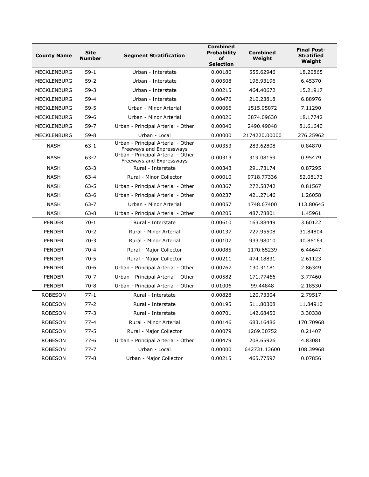| <b>County Name</b> | <b>Site</b><br><b>Number</b> | <b>Segment Stratification</b>                                  | <b>Combined</b><br><b>Probability</b><br>of<br><b>Selection</b> | <b>Combined</b><br>Weight | <b>Final Post-</b><br><b>Stratified</b><br>Weight |
|--------------------|------------------------------|----------------------------------------------------------------|-----------------------------------------------------------------|---------------------------|---------------------------------------------------|
| <b>MECKLENBURG</b> | $59-1$                       | Urban - Interstate                                             | 0.00180                                                         | 555.62946                 | 18.20865                                          |
| <b>MECKLENBURG</b> | $59-2$                       | Urban - Interstate                                             | 0.00508                                                         | 196.93196                 | 6.45370                                           |
| <b>MECKLENBURG</b> | $59-3$                       | Urban - Interstate                                             | 0.00215                                                         | 464.40672                 | 15.21917                                          |
| <b>MECKLENBURG</b> | $59 - 4$                     | Urban - Interstate                                             | 0.00476                                                         | 210.23818                 | 6.88976                                           |
| <b>MECKLENBURG</b> | $59 - 5$                     | Urban - Minor Arterial                                         | 0.00066                                                         | 1515.95072                | 7.11290                                           |
| <b>MECKLENBURG</b> | $59-6$                       | Urban - Minor Arterial                                         | 0.00026                                                         | 3874.09630                | 18.17742                                          |
| <b>MECKLENBURG</b> | $59-7$                       | Urban - Principal Arterial - Other                             | 0.00040                                                         | 2490.49048                | 81.61640                                          |
| MECKLENBURG        | $59 - 8$                     | Urban - Local                                                  | 0.00000                                                         | 2174220.00000             | 276.25962                                         |
| <b>NASH</b>        | $63 - 1$                     | Urban - Principal Arterial - Other<br>Freeways and Expressways | 0.00353                                                         | 283.62808                 | 0.84870                                           |
| <b>NASH</b>        | $63 - 2$                     | Urban - Principal Arterial - Other<br>Freeways and Expressways | 0.00313                                                         | 319.08159                 | 0.95479                                           |
| <b>NASH</b>        | $63 - 3$                     | Rural - Interstate                                             | 0.00343                                                         | 291.73174                 | 0.87295                                           |
| <b>NASH</b>        | $63 - 4$                     | Rural - Minor Collector                                        | 0.00010                                                         | 9718.77336                | 52.08173                                          |
| <b>NASH</b>        | $63 - 5$                     | Urban - Principal Arterial - Other                             | 0.00367<br>272.58742                                            |                           | 0.81567                                           |
| <b>NASH</b>        | $63 - 6$                     | Urban - Principal Arterial - Other                             | 0.00237                                                         |                           | 1.26058                                           |
| <b>NASH</b>        | $63 - 7$                     | Urban - Minor Arterial                                         | 0.00057                                                         | 1748.67400                | 113.80645                                         |
| <b>NASH</b>        | $63 - 8$                     | Urban - Principal Arterial - Other                             | 0.00205<br>487.78801                                            |                           | 1.45961                                           |
| <b>PENDER</b>      | $70-1$                       | Rural - Interstate                                             | 0.00610<br>163.88449                                            |                           | 3.60122                                           |
| <b>PENDER</b>      | $70-2$                       | Rural - Minor Arterial                                         | 0.00137<br>727.95508                                            |                           | 31.84804                                          |
| <b>PENDER</b>      | $70-3$                       | Rural - Minor Arterial                                         | 0.00107<br>933.98010                                            |                           | 40.86164                                          |
| <b>PENDER</b>      | $70 - 4$                     | Rural - Major Collector                                        | 0.00085<br>1170.65239                                           |                           | 6.44647                                           |
| <b>PENDER</b>      | $70 - 5$                     | Rural - Major Collector                                        | 0.00211<br>474.18831                                            |                           | 2.61123                                           |
| <b>PENDER</b>      | $70-6$                       | Urban - Principal Arterial - Other                             | 0.00767                                                         | 130.31181                 | 2.86349                                           |
| <b>PENDER</b>      | $70-7$                       | Urban - Principal Arterial - Other                             | 0.00582                                                         | 171.77466                 | 3.77460                                           |
| <b>PENDER</b>      | $70 - 8$                     | Urban - Principal Arterial - Other                             | 0.01006                                                         | 99.44848                  | 2.18530                                           |
| <b>ROBESON</b>     | $77-1$                       | Rural - Interstate                                             | 0.00828                                                         | 120.73304                 | 2.79517                                           |
| <b>ROBESON</b>     | $77 - 2$                     | Rural - Interstate                                             | 0.00195                                                         | 511.80308                 | 11.84910                                          |
| <b>ROBESON</b>     | $77 - 3$                     | Rural - Interstate                                             | 0.00701                                                         | 142.68450                 | 3.30338                                           |
| <b>ROBESON</b>     | 77-4                         | Rural - Minor Arterial                                         | 0.00146                                                         | 683.16486                 | 170.70968                                         |
| <b>ROBESON</b>     | $77 - 5$                     | Rural - Major Collector                                        | 0.00079                                                         | 1269.30752                | 0.21407                                           |
| <b>ROBESON</b>     | $77-6$                       | Urban - Principal Arterial - Other                             | 0.00479                                                         | 208.65926                 | 4.83081                                           |
| <b>ROBESON</b>     | $77 - 7$                     | Urban - Local<br>0.00000<br>642731.13600                       |                                                                 | 108.39968                 |                                                   |
| <b>ROBESON</b>     | $77 - 8$                     | Urban - Major Collector                                        | 0.00215                                                         | 465.77597                 | 0.07856                                           |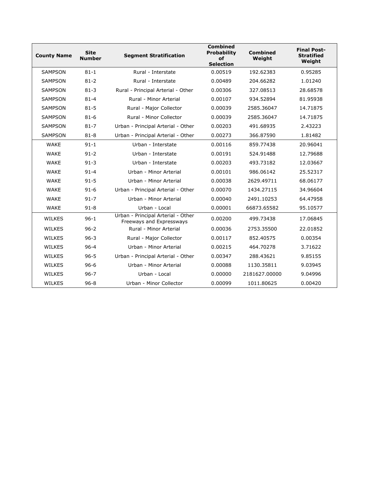| <b>County Name</b> | <b>Site</b><br><b>Number</b> | <b>Segment Stratification</b>                                  | <b>Combined</b><br><b>Probability</b><br>of<br><b>Selection</b> | <b>Combined</b><br>Weight | <b>Final Post-</b><br><b>Stratified</b><br>Weight |
|--------------------|------------------------------|----------------------------------------------------------------|-----------------------------------------------------------------|---------------------------|---------------------------------------------------|
| <b>SAMPSON</b>     | $81 - 1$                     | Rural - Interstate                                             | 0.00519                                                         | 192.62383                 | 0.95285                                           |
| <b>SAMPSON</b>     | $81 - 2$                     | Rural - Interstate                                             | 0.00489                                                         | 204.66282                 | 1.01240                                           |
| <b>SAMPSON</b>     | $81 - 3$                     | Rural - Principal Arterial - Other                             | 0.00306                                                         | 327.08513                 | 28.68578                                          |
| <b>SAMPSON</b>     | $81 - 4$                     | Rural - Minor Arterial                                         | 0.00107                                                         | 934.52894                 | 81.95938                                          |
| <b>SAMPSON</b>     | $81 - 5$                     | Rural - Major Collector                                        | 0.00039                                                         | 2585.36047                | 14.71875                                          |
| <b>SAMPSON</b>     | $81 - 6$                     | Rural - Minor Collector                                        | 0.00039                                                         | 2585.36047                | 14.71875                                          |
| <b>SAMPSON</b>     | $81 - 7$                     | Urban - Principal Arterial - Other                             | 0.00203                                                         | 491.68935                 | 2.43223                                           |
| <b>SAMPSON</b>     | $81 - 8$                     | Urban - Principal Arterial - Other                             | 0.00273                                                         | 366.87590                 | 1.81482                                           |
| <b>WAKE</b>        | $91 - 1$                     | Urban - Interstate                                             | 0.00116                                                         | 859.77438                 | 20.96041                                          |
| <b>WAKE</b>        | $91 - 2$                     | Urban - Interstate                                             | 0.00191                                                         | 524.91488                 | 12.79688                                          |
| <b>WAKE</b>        | $91 - 3$                     | Urban - Interstate                                             | 0.00203                                                         | 493.73182                 | 12.03667                                          |
| <b>WAKE</b>        | $91 - 4$                     | Urban - Minor Arterial                                         | 0.00101                                                         | 986.06142                 | 25.52317                                          |
| <b>WAKE</b>        | $91 - 5$                     | Urban - Minor Arterial                                         | 0.00038<br>2629.49711                                           |                           | 68.06177                                          |
| <b>WAKE</b>        | $91 - 6$                     | Urban - Principal Arterial - Other                             | 0.00070<br>1434.27115                                           |                           | 34.96604                                          |
| <b>WAKE</b>        | $91 - 7$                     | Urban - Minor Arterial                                         | 0.00040<br>2491.10253                                           |                           | 64.47958                                          |
| <b>WAKE</b>        | $91 - 8$                     | Urban - Local                                                  | 0.00001<br>66873.65582                                          |                           | 95.10577                                          |
| <b>WILKES</b>      | $96 - 1$                     | Urban - Principal Arterial - Other<br>Freeways and Expressways | 0.00200                                                         | 499.73438                 | 17.06845                                          |
| <b>WILKES</b>      | $96 - 2$                     | Rural - Minor Arterial                                         | 0.00036                                                         | 2753.35500                | 22.01852                                          |
| <b>WILKES</b>      | $96 - 3$                     | Rural - Major Collector                                        | 0.00117                                                         | 852.40575                 | 0.00354                                           |
| <b>WILKES</b>      | $96 - 4$                     | Urban - Minor Arterial                                         | 0.00215                                                         | 464.70278                 | 3.71622                                           |
| <b>WILKES</b>      | $96 - 5$                     | Urban - Principal Arterial - Other                             | 0.00347                                                         |                           | 9.85155                                           |
| <b>WILKES</b>      | $96 - 6$                     | Urban - Minor Arterial                                         | 0.00088                                                         | 1130.35811                | 9.03945                                           |
| <b>WILKES</b>      | $96 - 7$                     | Urban - Local                                                  | 0.00000                                                         | 2181627.00000             | 9.04996                                           |
| <b>WILKES</b>      | $96 - 8$                     | Urban - Minor Collector                                        | 0.00099                                                         | 1011.80625                | 0.00420                                           |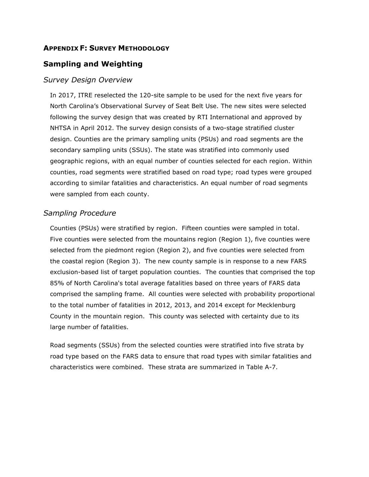### **APPENDIX F: SURVEY METHODOLOGY**

## **Sampling and Weighting**

#### *Survey Design Overview*

In 2017, ITRE reselected the 120-site sample to be used for the next five years for North Carolina's Observational Survey of Seat Belt Use. The new sites were selected following the survey design that was created by RTI International and approved by NHTSA in April 2012. The survey design consists of a two-stage stratified cluster design. Counties are the primary sampling units (PSUs) and road segments are the secondary sampling units (SSUs). The state was stratified into commonly used geographic regions, with an equal number of counties selected for each region. Within counties, road segments were stratified based on road type; road types were grouped according to similar fatalities and characteristics. An equal number of road segments were sampled from each county.

#### *Sampling Procedure*

Counties (PSUs) were stratified by region. Fifteen counties were sampled in total. Five counties were selected from the mountains region (Region 1), five counties were selected from the piedmont region (Region 2), and five counties were selected from the coastal region (Region 3). The new county sample is in response to a new FARS exclusion-based list of target population counties. The counties that comprised the top 85% of North Carolina's total average fatalities based on three years of FARS data comprised the sampling frame. All counties were selected with probability proportional to the total number of fatalities in 2012, 2013, and 2014 except for Mecklenburg County in the mountain region. This county was selected with certainty due to its large number of fatalities.

Road segments (SSUs) from the selected counties were stratified into five strata by road type based on the FARS data to ensure that road types with similar fatalities and characteristics were combined. These strata are summarized in Table A-7.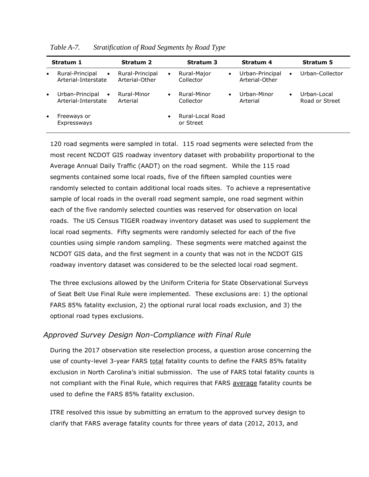|           | Stratum 1                                           | <b>Stratum 2</b>                  |           | <b>Stratum 3</b>              |           | Stratum 4                         |           | <b>Stratum 5</b>              |
|-----------|-----------------------------------------------------|-----------------------------------|-----------|-------------------------------|-----------|-----------------------------------|-----------|-------------------------------|
| $\bullet$ | Rural-Principal<br>$\bullet$<br>Arterial-Interstate | Rural-Principal<br>Arterial-Other | $\bullet$ | Rural-Major<br>Collector      | $\bullet$ | Urban-Principal<br>Arterial-Other | $\bullet$ | Urban-Collector               |
| $\bullet$ | Urban-Principal<br>$\bullet$<br>Arterial-Interstate | Rural-Minor<br>Arterial           | $\bullet$ | Rural-Minor<br>Collector      |           | Urban-Minor<br>Arterial           | ٠         | Urban-Local<br>Road or Street |
| $\bullet$ | Freeways or<br>Expressways                          |                                   | $\bullet$ | Rural-Local Road<br>or Street |           |                                   |           |                               |

*Table A-7. Stratification of Road Segments by Road Type*

120 road segments were sampled in total. 115 road segments were selected from the most recent NCDOT GIS roadway inventory dataset with probability proportional to the Average Annual Daily Traffic (AADT) on the road segment. While the 115 road segments contained some local roads, five of the fifteen sampled counties were randomly selected to contain additional local roads sites. To achieve a representative sample of local roads in the overall road segment sample, one road segment within each of the five randomly selected counties was reserved for observation on local roads. The US Census TIGER roadway inventory dataset was used to supplement the local road segments. Fifty segments were randomly selected for each of the five counties using simple random sampling. These segments were matched against the NCDOT GIS data, and the first segment in a county that was not in the NCDOT GIS roadway inventory dataset was considered to be the selected local road segment.

The three exclusions allowed by the Uniform Criteria for State Observational Surveys of Seat Belt Use Final Rule were implemented. These exclusions are: 1) the optional FARS 85% fatality exclusion, 2) the optional rural local roads exclusion, and 3) the optional road types exclusions.

## *Approved Survey Design Non-Compliance with Final Rule*

During the 2017 observation site reselection process, a question arose concerning the use of county-level 3-year FARS total fatality counts to define the FARS 85% fatality exclusion in North Carolina's initial submission. The use of FARS total fatality counts is not compliant with the Final Rule, which requires that FARS average fatality counts be used to define the FARS 85% fatality exclusion.

ITRE resolved this issue by submitting an erratum to the approved survey design to clarify that FARS average fatality counts for three years of data (2012, 2013, and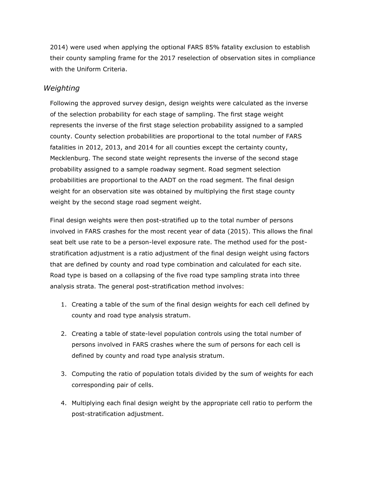2014) were used when applying the optional FARS 85% fatality exclusion to establish their county sampling frame for the 2017 reselection of observation sites in compliance with the Uniform Criteria.

## *Weighting*

Following the approved survey design, design weights were calculated as the inverse of the selection probability for each stage of sampling. The first stage weight represents the inverse of the first stage selection probability assigned to a sampled county. County selection probabilities are proportional to the total number of FARS fatalities in 2012, 2013, and 2014 for all counties except the certainty county, Mecklenburg. The second state weight represents the inverse of the second stage probability assigned to a sample roadway segment. Road segment selection probabilities are proportional to the AADT on the road segment. The final design weight for an observation site was obtained by multiplying the first stage county weight by the second stage road segment weight.

Final design weights were then post-stratified up to the total number of persons involved in FARS crashes for the most recent year of data (2015). This allows the final seat belt use rate to be a person-level exposure rate. The method used for the poststratification adjustment is a ratio adjustment of the final design weight using factors that are defined by county and road type combination and calculated for each site. Road type is based on a collapsing of the five road type sampling strata into three analysis strata. The general post-stratification method involves:

- 1. Creating a table of the sum of the final design weights for each cell defined by county and road type analysis stratum.
- 2. Creating a table of state-level population controls using the total number of persons involved in FARS crashes where the sum of persons for each cell is defined by county and road type analysis stratum.
- 3. Computing the ratio of population totals divided by the sum of weights for each corresponding pair of cells.
- 4. Multiplying each final design weight by the appropriate cell ratio to perform the post-stratification adjustment.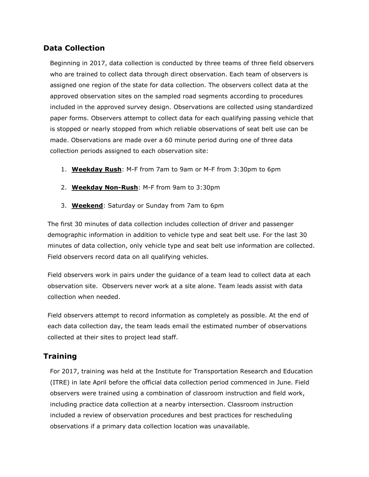## **Data Collection**

Beginning in 2017, data collection is conducted by three teams of three field observers who are trained to collect data through direct observation. Each team of observers is assigned one region of the state for data collection. The observers collect data at the approved observation sites on the sampled road segments according to procedures included in the approved survey design. Observations are collected using standardized paper forms. Observers attempt to collect data for each qualifying passing vehicle that is stopped or nearly stopped from which reliable observations of seat belt use can be made. Observations are made over a 60 minute period during one of three data collection periods assigned to each observation site:

- 1. **Weekday Rush**: M-F from 7am to 9am or M-F from 3:30pm to 6pm
- 2. **Weekday Non-Rush**: M-F from 9am to 3:30pm
- 3. **Weekend**: Saturday or Sunday from 7am to 6pm

The first 30 minutes of data collection includes collection of driver and passenger demographic information in addition to vehicle type and seat belt use. For the last 30 minutes of data collection, only vehicle type and seat belt use information are collected. Field observers record data on all qualifying vehicles.

Field observers work in pairs under the guidance of a team lead to collect data at each observation site. Observers never work at a site alone. Team leads assist with data collection when needed.

Field observers attempt to record information as completely as possible. At the end of each data collection day, the team leads email the estimated number of observations collected at their sites to project lead staff.

## **Training**

For 2017, training was held at the Institute for Transportation Research and Education (ITRE) in late April before the official data collection period commenced in June. Field observers were trained using a combination of classroom instruction and field work, including practice data collection at a nearby intersection. Classroom instruction included a review of observation procedures and best practices for rescheduling observations if a primary data collection location was unavailable.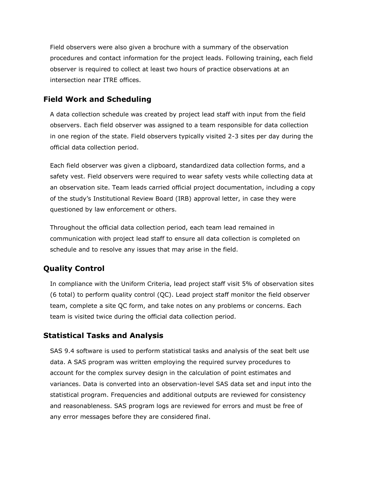Field observers were also given a brochure with a summary of the observation procedures and contact information for the project leads. Following training, each field observer is required to collect at least two hours of practice observations at an intersection near ITRE offices.

# **Field Work and Scheduling**

A data collection schedule was created by project lead staff with input from the field observers. Each field observer was assigned to a team responsible for data collection in one region of the state. Field observers typically visited 2-3 sites per day during the official data collection period.

Each field observer was given a clipboard, standardized data collection forms, and a safety vest. Field observers were required to wear safety vests while collecting data at an observation site. Team leads carried official project documentation, including a copy of the study's Institutional Review Board (IRB) approval letter, in case they were questioned by law enforcement or others.

Throughout the official data collection period, each team lead remained in communication with project lead staff to ensure all data collection is completed on schedule and to resolve any issues that may arise in the field.

# **Quality Control**

In compliance with the Uniform Criteria, lead project staff visit 5% of observation sites (6 total) to perform quality control (QC). Lead project staff monitor the field observer team, complete a site QC form, and take notes on any problems or concerns. Each team is visited twice during the official data collection period.

# **Statistical Tasks and Analysis**

SAS 9.4 software is used to perform statistical tasks and analysis of the seat belt use data. A SAS program was written employing the required survey procedures to account for the complex survey design in the calculation of point estimates and variances. Data is converted into an observation-level SAS data set and input into the statistical program. Frequencies and additional outputs are reviewed for consistency and reasonableness. SAS program logs are reviewed for errors and must be free of any error messages before they are considered final.